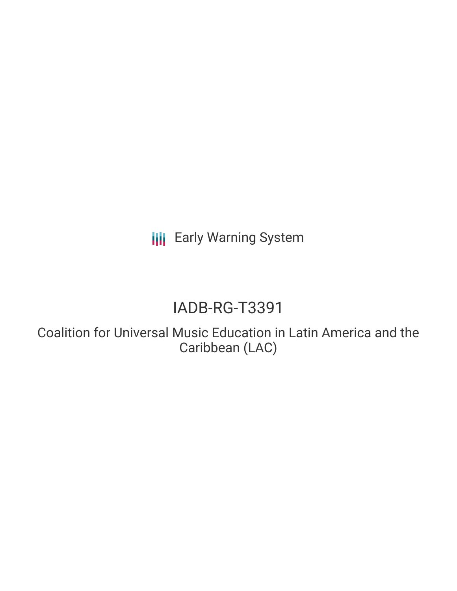**III** Early Warning System

# IADB-RG-T3391

Coalition for Universal Music Education in Latin America and the Caribbean (LAC)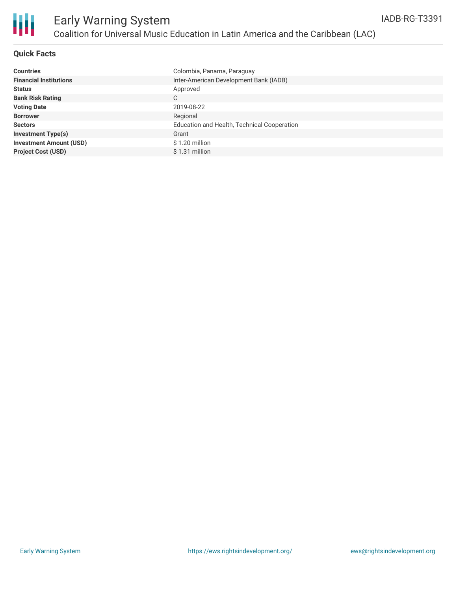

### **Quick Facts**

| <b>Countries</b>               | Colombia, Panama, Paraguay                  |
|--------------------------------|---------------------------------------------|
| <b>Financial Institutions</b>  | Inter-American Development Bank (IADB)      |
| <b>Status</b>                  | Approved                                    |
| <b>Bank Risk Rating</b>        | C                                           |
| <b>Voting Date</b>             | 2019-08-22                                  |
| <b>Borrower</b>                | Regional                                    |
| <b>Sectors</b>                 | Education and Health, Technical Cooperation |
| <b>Investment Type(s)</b>      | Grant                                       |
| <b>Investment Amount (USD)</b> | \$1.20 million                              |
| <b>Project Cost (USD)</b>      | $$1.31$ million                             |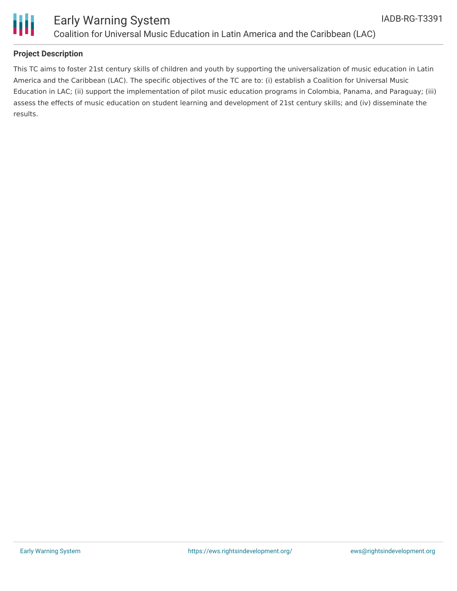

This TC aims to foster 21st century skills of children and youth by supporting the universalization of music education in Latin America and the Caribbean (LAC). The specific objectives of the TC are to: (i) establish a Coalition for Universal Music Education in LAC; (ii) support the implementation of pilot music education programs in Colombia, Panama, and Paraguay; (iii) assess the effects of music education on student learning and development of 21st century skills; and (iv) disseminate the results.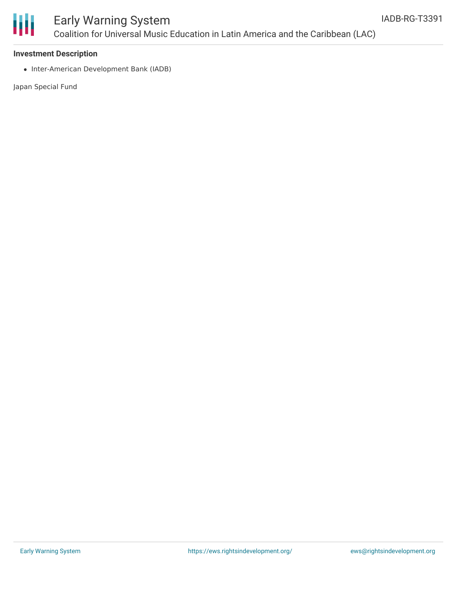

# Early Warning System Coalition for Universal Music Education in Latin America and the Caribbean (LAC)

#### **Investment Description**

• Inter-American Development Bank (IADB)

Japan Special Fund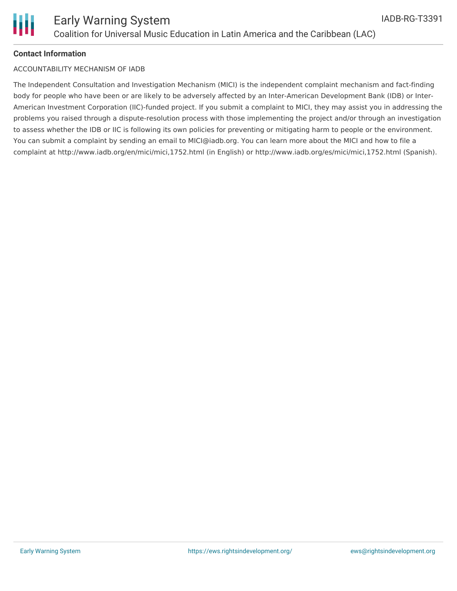## **Contact Information**

## ACCOUNTABILITY MECHANISM OF IADB

The Independent Consultation and Investigation Mechanism (MICI) is the independent complaint mechanism and fact-finding body for people who have been or are likely to be adversely affected by an Inter-American Development Bank (IDB) or Inter-American Investment Corporation (IIC)-funded project. If you submit a complaint to MICI, they may assist you in addressing the problems you raised through a dispute-resolution process with those implementing the project and/or through an investigation to assess whether the IDB or IIC is following its own policies for preventing or mitigating harm to people or the environment. You can submit a complaint by sending an email to MICI@iadb.org. You can learn more about the MICI and how to file a complaint at http://www.iadb.org/en/mici/mici,1752.html (in English) or http://www.iadb.org/es/mici/mici,1752.html (Spanish).